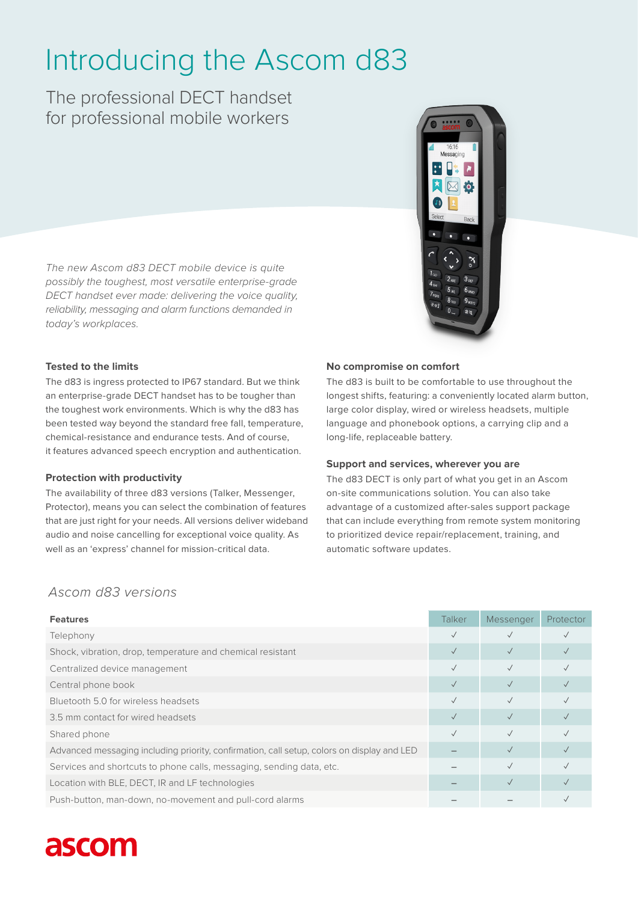# Introducing the Ascom d83

The professional DECT handset for professional mobile workers

*The new Ascom d83 DECT mobile device is quite possibly the toughest, most versatile enterprise-grade DECT handset ever made: delivering the voice quality, reliability, messaging and alarm functions demanded in today's workplaces.* 



# **Tested to the limits**

The d83 is ingress protected to IP67 standard. But we think an enterprise-grade DECT handset has to be tougher than the toughest work environments. Which is why the d83 has been tested way beyond the standard free fall, temperature, chemical-resistance and endurance tests. And of course, it features advanced speech encryption and authentication.

## **Protection with productivity**

The availability of three d83 versions (Talker, Messenger, Protector), means you can select the combination of features that are just right for your needs. All versions deliver wideband audio and noise cancelling for exceptional voice quality. As well as an 'express' channel for mission-critical data.

## **No compromise on comfort**

The d83 is built to be comfortable to use throughout the longest shifts, featuring: a conveniently located alarm button, large color display, wired or wireless headsets, multiple language and phonebook options, a carrying clip and a long-life, replaceable battery.

## **Support and services, wherever you are**

The d83 DECT is only part of what you get in an Ascom on-site communications solution. You can also take advantage of a customized after-sales support package that can include everything from remote system monitoring to prioritized device repair/replacement, training, and automatic software updates.

# *Ascom d83 versions*

| <b>Features</b>                                                                            | Talker    | Messenger    | Protector |
|--------------------------------------------------------------------------------------------|-----------|--------------|-----------|
| Telephony                                                                                  |           |              |           |
| Shock, vibration, drop, temperature and chemical resistant                                 |           |              |           |
| Centralized device management                                                              |           |              |           |
| Central phone book                                                                         |           | $\checkmark$ |           |
| Bluetooth 5.0 for wireless headsets                                                        |           |              |           |
| 3.5 mm contact for wired headsets                                                          | $\sqrt{}$ | $\sqrt{}$    |           |
| Shared phone                                                                               | $\sqrt{}$ |              |           |
| Advanced messaging including priority, confirmation, call setup, colors on display and LED |           |              |           |
| Services and shortcuts to phone calls, messaging, sending data, etc.                       |           |              |           |
| Location with BLE, DECT, IR and LF technologies                                            |           |              |           |
| Push-button, man-down, no-movement and pull-cord alarms                                    |           |              |           |